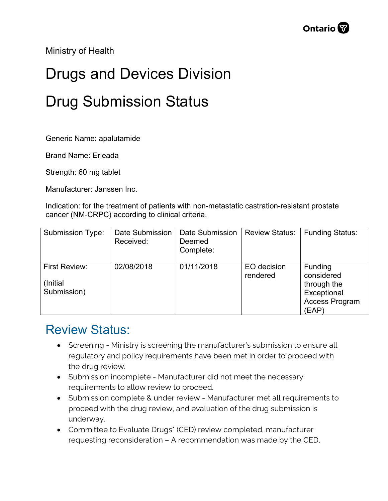Ministry of Health

## Drugs and Devices Division Drug Submission Status

Generic Name: apalutamide

Brand Name: Erleada

Strength: 60 mg tablet

Manufacturer: Janssen Inc.

Indication: for the treatment of patients with non-metastatic castration-resistant prostate cancer (NM-CRPC) according to clinical criteria.

| <b>Submission Type:</b>                  | <b>Date Submission</b><br>Received: | <b>Date Submission</b><br>Deemed<br>Complete: | <b>Review Status:</b>   | <b>Funding Status:</b>                                                                |
|------------------------------------------|-------------------------------------|-----------------------------------------------|-------------------------|---------------------------------------------------------------------------------------|
| First Review:<br>(Initial<br>Submission) | 02/08/2018                          | 01/11/2018                                    | EO decision<br>rendered | Funding<br>considered<br>through the<br>Exceptional<br><b>Access Program</b><br>(EAP) |

## Review Status:

- Screening Ministry is screening the manufacturer's submission to ensure all regulatory and policy requirements have been met in order to proceed with the drug review.
- Submission incomplete Manufacturer did not meet the necessary requirements to allow review to proceed.
- Submission complete & under review Manufacturer met all requirements to proceed with the drug review, and evaluation of the drug submission is underway.
- Committee to Evaluate Drugs\* (CED) review completed, manufacturer requesting reconsideration – A recommendation was made by the CED,